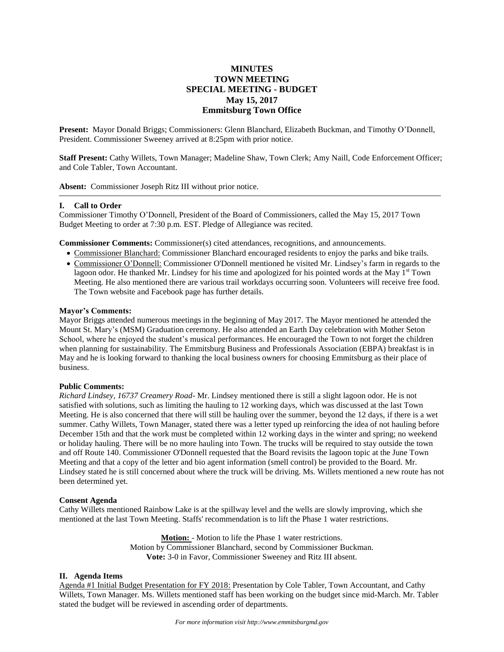# **MINUTES TOWN MEETING SPECIAL MEETING - BUDGET May 15, 2017 Emmitsburg Town Office**

**Present:** Mayor Donald Briggs; Commissioners: Glenn Blanchard, Elizabeth Buckman, and Timothy O'Donnell, President. Commissioner Sweeney arrived at 8:25pm with prior notice.

**Staff Present:** Cathy Willets, Town Manager; Madeline Shaw, Town Clerk; Amy Naill, Code Enforcement Officer; and Cole Tabler, Town Accountant.

**Absent:** Commissioner Joseph Ritz III without prior notice.

### **I. Call to Order**

Commissioner Timothy O'Donnell, President of the Board of Commissioners, called the May 15, 2017 Town Budget Meeting to order at 7:30 p.m. EST. Pledge of Allegiance was recited.

**Commissioner Comments:** Commissioner(s) cited attendances, recognitions, and announcements.

- Commissioner Blanchard: Commissioner Blanchard encouraged residents to enjoy the parks and bike trails.
- Commissioner O'Donnell: Commissioner O'Donnell mentioned he visited Mr. Lindsey's farm in regards to the lagoon odor. He thanked Mr. Lindsey for his time and apologized for his pointed words at the May  $1<sup>st</sup>$  Town Meeting. He also mentioned there are various trail workdays occurring soon. Volunteers will receive free food. The Town website and Facebook page has further details.

#### **Mayor's Comments:**

Mayor Briggs attended numerous meetings in the beginning of May 2017. The Mayor mentioned he attended the Mount St. Mary's (MSM) Graduation ceremony. He also attended an Earth Day celebration with Mother Seton School, where he enjoyed the student's musical performances. He encouraged the Town to not forget the children when planning for sustainability. The Emmitsburg Business and Professionals Association (EBPA) breakfast is in May and he is looking forward to thanking the local business owners for choosing Emmitsburg as their place of business.

### **Public Comments:**

*Richard Lindsey, 16737 Creamery Road*- Mr. Lindsey mentioned there is still a slight lagoon odor. He is not satisfied with solutions, such as limiting the hauling to 12 working days, which was discussed at the last Town Meeting. He is also concerned that there will still be hauling over the summer, beyond the 12 days, if there is a wet summer. Cathy Willets, Town Manager, stated there was a letter typed up reinforcing the idea of not hauling before December 15th and that the work must be completed within 12 working days in the winter and spring; no weekend or holiday hauling. There will be no more hauling into Town. The trucks will be required to stay outside the town and off Route 140. Commissioner O'Donnell requested that the Board revisits the lagoon topic at the June Town Meeting and that a copy of the letter and bio agent information (smell control) be provided to the Board. Mr. Lindsey stated he is still concerned about where the truck will be driving. Ms. Willets mentioned a new route has not been determined yet.

#### **Consent Agenda**

Cathy Willets mentioned Rainbow Lake is at the spillway level and the wells are slowly improving, which she mentioned at the last Town Meeting. Staffs' recommendation is to lift the Phase 1 water restrictions.

> **Motion:** - Motion to life the Phase 1 water restrictions. Motion by Commissioner Blanchard, second by Commissioner Buckman. **Vote:** 3-0 in Favor, Commissioner Sweeney and Ritz III absent.

### **II. Agenda Items**

Agenda #1 Initial Budget Presentation for FY 2018: Presentation by Cole Tabler, Town Accountant, and Cathy Willets, Town Manager. Ms. Willets mentioned staff has been working on the budget since mid-March. Mr. Tabler stated the budget will be reviewed in ascending order of departments.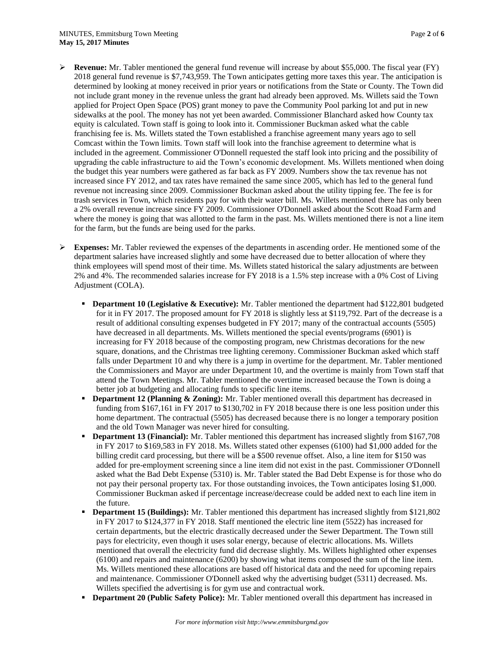- **Revenue:** Mr. Tabler mentioned the general fund revenue will increase by about \$55,000. The fiscal year (FY) 2018 general fund revenue is \$7,743,959. The Town anticipates getting more taxes this year. The anticipation is determined by looking at money received in prior years or notifications from the State or County. The Town did not include grant money in the revenue unless the grant had already been approved. Ms. Willets said the Town applied for Project Open Space (POS) grant money to pave the Community Pool parking lot and put in new sidewalks at the pool. The money has not yet been awarded. Commissioner Blanchard asked how County tax equity is calculated. Town staff is going to look into it. Commissioner Buckman asked what the cable franchising fee is. Ms. Willets stated the Town established a franchise agreement many years ago to sell Comcast within the Town limits. Town staff will look into the franchise agreement to determine what is included in the agreement. Commissioner O'Donnell requested the staff look into pricing and the possibility of upgrading the cable infrastructure to aid the Town's economic development. Ms. Willets mentioned when doing the budget this year numbers were gathered as far back as FY 2009. Numbers show the tax revenue has not increased since FY 2012, and tax rates have remained the same since 2005, which has led to the general fund revenue not increasing since 2009. Commissioner Buckman asked about the utility tipping fee. The fee is for trash services in Town, which residents pay for with their water bill. Ms. Willets mentioned there has only been a 2% overall revenue increase since FY 2009. Commissioner O'Donnell asked about the Scott Road Farm and where the money is going that was allotted to the farm in the past. Ms. Willets mentioned there is not a line item for the farm, but the funds are being used for the parks.
- **Expenses:** Mr. Tabler reviewed the expenses of the departments in ascending order. He mentioned some of the department salaries have increased slightly and some have decreased due to better allocation of where they think employees will spend most of their time. Ms. Willets stated historical the salary adjustments are between 2% and 4%. The recommended salaries increase for FY 2018 is a 1.5% step increase with a 0% Cost of Living Adjustment (COLA).
	- **Department 10 (Legislative & Executive):** Mr. Tabler mentioned the department had \$122,801 budgeted for it in FY 2017. The proposed amount for FY 2018 is slightly less at \$119,792. Part of the decrease is a result of additional consulting expenses budgeted in FY 2017; many of the contractual accounts (5505) have decreased in all departments. Ms. Willets mentioned the special events/programs (6901) is increasing for FY 2018 because of the composting program, new Christmas decorations for the new square, donations, and the Christmas tree lighting ceremony. Commissioner Buckman asked which staff falls under Department 10 and why there is a jump in overtime for the department. Mr. Tabler mentioned the Commissioners and Mayor are under Department 10, and the overtime is mainly from Town staff that attend the Town Meetings. Mr. Tabler mentioned the overtime increased because the Town is doing a better job at budgeting and allocating funds to specific line items.
	- **Department 12 (Planning & Zoning):** Mr. Tabler mentioned overall this department has decreased in funding from \$167,161 in FY 2017 to \$130,702 in FY 2018 because there is one less position under this home department. The contractual (5505) has decreased because there is no longer a temporary position and the old Town Manager was never hired for consulting.
	- **Department 13 (Financial):** Mr. Tabler mentioned this department has increased slightly from \$167,708 in FY 2017 to \$169,583 in FY 2018. Ms. Willets stated other expenses (6100) had \$1,000 added for the billing credit card processing, but there will be a \$500 revenue offset. Also, a line item for \$150 was added for pre-employment screening since a line item did not exist in the past. Commissioner O'Donnell asked what the Bad Debt Expense (5310) is. Mr. Tabler stated the Bad Debt Expense is for those who do not pay their personal property tax. For those outstanding invoices, the Town anticipates losing \$1,000. Commissioner Buckman asked if percentage increase/decrease could be added next to each line item in the future.
	- **Department 15 (Buildings):** Mr. Tabler mentioned this department has increased slightly from \$121,802 in FY 2017 to \$124,377 in FY 2018. Staff mentioned the electric line item (5522) has increased for certain departments, but the electric drastically decreased under the Sewer Department. The Town still pays for electricity, even though it uses solar energy, because of electric allocations. Ms. Willets mentioned that overall the electricity fund did decrease slightly. Ms. Willets highlighted other expenses (6100) and repairs and maintenance (6200) by showing what items composed the sum of the line item. Ms. Willets mentioned these allocations are based off historical data and the need for upcoming repairs and maintenance. Commissioner O'Donnell asked why the advertising budget (5311) decreased. Ms. Willets specified the advertising is for gym use and contractual work.
	- **Department 20 (Public Safety Police):** Mr. Tabler mentioned overall this department has increased in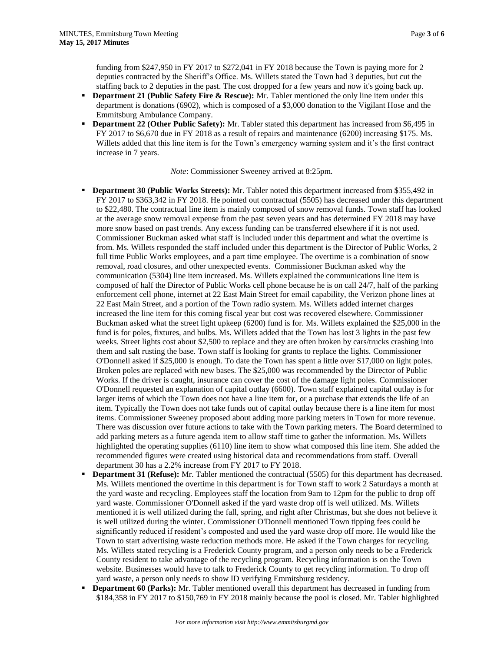funding from \$247,950 in FY 2017 to \$272,041 in FY 2018 because the Town is paying more for 2 deputies contracted by the Sheriff's Office. Ms. Willets stated the Town had 3 deputies, but cut the staffing back to 2 deputies in the past. The cost dropped for a few years and now it's going back up.

- **Department 21 (Public Safety Fire & Rescue):** Mr. Tabler mentioned the only line item under this department is donations (6902), which is composed of a \$3,000 donation to the Vigilant Hose and the Emmitsburg Ambulance Company.
- **Department 22 (Other Public Safety):** Mr. Tabler stated this department has increased from \$6,495 in FY 2017 to \$6,670 due in FY 2018 as a result of repairs and maintenance (6200) increasing \$175. Ms. Willets added that this line item is for the Town's emergency warning system and it's the first contract increase in 7 years.

*Note*: Commissioner Sweeney arrived at 8:25pm.

- **Department 30 (Public Works Streets):** Mr. Tabler noted this department increased from \$355,492 in FY 2017 to \$363,342 in FY 2018. He pointed out contractual (5505) has decreased under this department to \$22,480. The contractual line item is mainly composed of snow removal funds. Town staff has looked at the average snow removal expense from the past seven years and has determined FY 2018 may have more snow based on past trends. Any excess funding can be transferred elsewhere if it is not used. Commissioner Buckman asked what staff is included under this department and what the overtime is from. Ms. Willets responded the staff included under this department is the Director of Public Works, 2 full time Public Works employees, and a part time employee. The overtime is a combination of snow removal, road closures, and other unexpected events. Commissioner Buckman asked why the communication (5304) line item increased. Ms. Willets explained the communications line item is composed of half the Director of Public Works cell phone because he is on call 24/7, half of the parking enforcement cell phone, internet at 22 East Main Street for email capability, the Verizon phone lines at 22 East Main Street, and a portion of the Town radio system. Ms. Willets added internet charges increased the line item for this coming fiscal year but cost was recovered elsewhere. Commissioner Buckman asked what the street light upkeep (6200) fund is for. Ms. Willets explained the \$25,000 in the fund is for poles, fixtures, and bulbs. Ms. Willets added that the Town has lost 3 lights in the past few weeks. Street lights cost about \$2,500 to replace and they are often broken by cars/trucks crashing into them and salt rusting the base. Town staff is looking for grants to replace the lights. Commissioner O'Donnell asked if \$25,000 is enough. To date the Town has spent a little over \$17,000 on light poles. Broken poles are replaced with new bases. The \$25,000 was recommended by the Director of Public Works. If the driver is caught, insurance can cover the cost of the damage light poles. Commissioner O'Donnell requested an explanation of capital outlay (6600). Town staff explained capital outlay is for larger items of which the Town does not have a line item for, or a purchase that extends the life of an item. Typically the Town does not take funds out of capital outlay because there is a line item for most items. Commissioner Sweeney proposed about adding more parking meters in Town for more revenue. There was discussion over future actions to take with the Town parking meters. The Board determined to add parking meters as a future agenda item to allow staff time to gather the information. Ms. Willets highlighted the operating supplies (6110) line item to show what composed this line item. She added the recommended figures were created using historical data and recommendations from staff. Overall department 30 has a 2.2% increase from FY 2017 to FY 2018.
- **Department 31 (Refuse):** Mr. Tabler mentioned the contractual (5505) for this department has decreased. Ms. Willets mentioned the overtime in this department is for Town staff to work 2 Saturdays a month at the yard waste and recycling. Employees staff the location from 9am to 12pm for the public to drop off yard waste. Commissioner O'Donnell asked if the yard waste drop off is well utilized. Ms. Willets mentioned it is well utilized during the fall, spring, and right after Christmas, but she does not believe it is well utilized during the winter. Commissioner O'Donnell mentioned Town tipping fees could be significantly reduced if resident's composted and used the yard waste drop off more. He would like the Town to start advertising waste reduction methods more. He asked if the Town charges for recycling. Ms. Willets stated recycling is a Frederick County program, and a person only needs to be a Frederick County resident to take advantage of the recycling program. Recycling information is on the Town website. Businesses would have to talk to Frederick County to get recycling information. To drop off yard waste, a person only needs to show ID verifying Emmitsburg residency.
- **Department 60 (Parks):** Mr. Tabler mentioned overall this department has decreased in funding from \$184,358 in FY 2017 to \$150,769 in FY 2018 mainly because the pool is closed. Mr. Tabler highlighted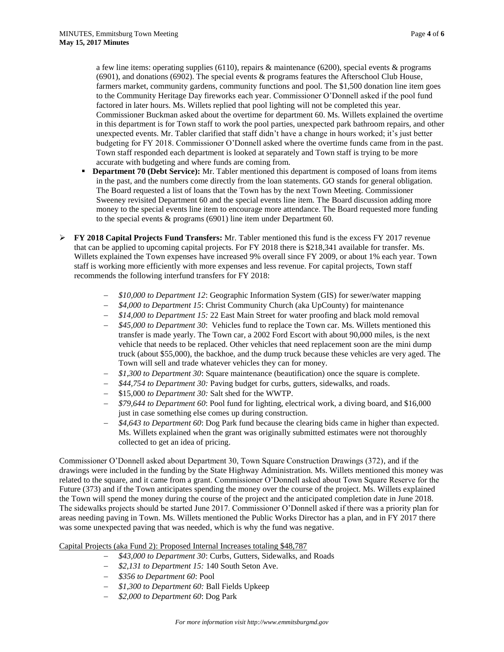a few line items: operating supplies (6110), repairs & maintenance (6200), special events & programs (6901), and donations (6902). The special events & programs features the Afterschool Club House, farmers market, community gardens, community functions and pool. The \$1,500 donation line item goes to the Community Heritage Day fireworks each year. Commissioner O'Donnell asked if the pool fund factored in later hours. Ms. Willets replied that pool lighting will not be completed this year. Commissioner Buckman asked about the overtime for department 60. Ms. Willets explained the overtime in this department is for Town staff to work the pool parties, unexpected park bathroom repairs, and other unexpected events. Mr. Tabler clarified that staff didn't have a change in hours worked; it's just better budgeting for FY 2018. Commissioner O'Donnell asked where the overtime funds came from in the past. Town staff responded each department is looked at separately and Town staff is trying to be more accurate with budgeting and where funds are coming from.

- **Department 70 (Debt Service):** Mr. Tabler mentioned this department is composed of loans from items in the past, and the numbers come directly from the loan statements. GO stands for general obligation. The Board requested a list of loans that the Town has by the next Town Meeting. Commissioner Sweeney revisited Department 60 and the special events line item. The Board discussion adding more money to the special events line item to encourage more attendance. The Board requested more funding to the special events & programs (6901) line item under Department 60.
- **FY 2018 Capital Projects Fund Transfers:** Mr. Tabler mentioned this fund is the excess FY 2017 revenue that can be applied to upcoming capital projects. For FY 2018 there is \$218,341 available for transfer. Ms. Willets explained the Town expenses have increased 9% overall since FY 2009, or about 1% each year. Town staff is working more efficiently with more expenses and less revenue. For capital projects, Town staff recommends the following interfund transfers for FY 2018:
	- *\$10,000 to Department 12*: Geographic Information System (GIS) for sewer/water mapping
	- *\$4,000 to Department 15*: Christ Community Church (aka UpCounty) for maintenance
	- *\$14,000 to Department 15:* 22 East Main Street for water proofing and black mold removal
	- *\$45,000 to Department 30*: Vehicles fund to replace the Town car. Ms. Willets mentioned this transfer is made yearly. The Town car, a 2002 Ford Escort with about 90,000 miles, is the next vehicle that needs to be replaced. Other vehicles that need replacement soon are the mini dump truck (about \$55,000), the backhoe, and the dump truck because these vehicles are very aged. The Town will sell and trade whatever vehicles they can for money.
	- *\$1,300 to Department 30*: Square maintenance (beautification) once the square is complete.
	- *\$44,754 to Department 30:* Paving budget for curbs, gutters, sidewalks, and roads.
	- \$15,000 *to Department 30:* Salt shed for the WWTP.
	- *\$79,644 to Department 60*: Pool fund for lighting, electrical work, a diving board, and \$16,000 just in case something else comes up during construction.
	- *\$4,643 to Department 60*: Dog Park fund because the clearing bids came in higher than expected. Ms. Willets explained when the grant was originally submitted estimates were not thoroughly collected to get an idea of pricing.

Commissioner O'Donnell asked about Department 30, Town Square Construction Drawings (372), and if the drawings were included in the funding by the State Highway Administration. Ms. Willets mentioned this money was related to the square, and it came from a grant. Commissioner O'Donnell asked about Town Square Reserve for the Future (373) and if the Town anticipates spending the money over the course of the project. Ms. Willets explained the Town will spend the money during the course of the project and the anticipated completion date in June 2018. The sidewalks projects should be started June 2017. Commissioner O'Donnell asked if there was a priority plan for areas needing paving in Town. Ms. Willets mentioned the Public Works Director has a plan, and in FY 2017 there was some unexpected paving that was needed, which is why the fund was negative.

# Capital Projects (aka Fund 2): Proposed Internal Increases totaling \$48,787

- *\$43,000 to Department 30*: Curbs, Gutters, Sidewalks, and Roads
- *\$2,131 to Department 15:* 140 South Seton Ave.
- *\$356 to Department 60*: Pool
- *\$1,300 to Department 60:* Ball Fields Upkeep
- *\$2,000 to Department 60*: Dog Park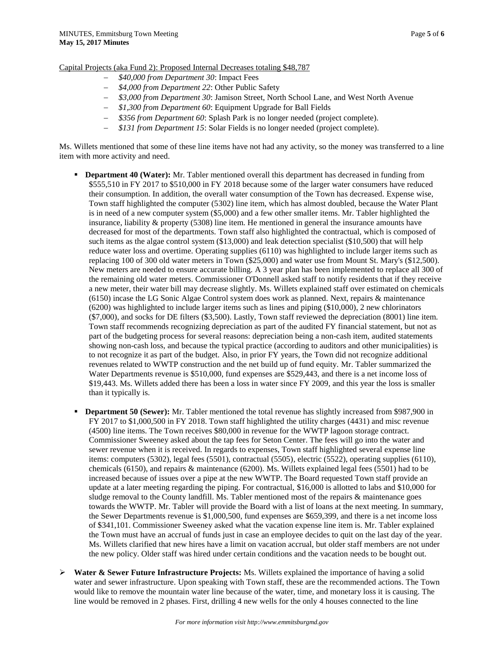Capital Projects (aka Fund 2): Proposed Internal Decreases totaling \$48,787

- *\$40,000 from Department 30*: Impact Fees
- *\$4,000 from Department 22*: Other Public Safety
- *\$3,000 from Department 30*: Jamison Street, North School Lane, and West North Avenue
- *\$1,300 from Department 60*: Equipment Upgrade for Ball Fields
- *\$356 from Department 60*: Splash Park is no longer needed (project complete).
- *\$131 from Department 15*: Solar Fields is no longer needed (project complete).

Ms. Willets mentioned that some of these line items have not had any activity, so the money was transferred to a line item with more activity and need.

- **Department 40 (Water):** Mr. Tabler mentioned overall this department has decreased in funding from \$555,510 in FY 2017 to \$510,000 in FY 2018 because some of the larger water consumers have reduced their consumption. In addition, the overall water consumption of the Town has decreased. Expense wise, Town staff highlighted the computer (5302) line item, which has almost doubled, because the Water Plant is in need of a new computer system (\$5,000) and a few other smaller items. Mr. Tabler highlighted the insurance, liability & property (5308) line item. He mentioned in general the insurance amounts have decreased for most of the departments. Town staff also highlighted the contractual, which is composed of such items as the algae control system (\$13,000) and leak detection specialist (\$10,500) that will help reduce water loss and overtime. Operating supplies (6110) was highlighted to include larger items such as replacing 100 of 300 old water meters in Town (\$25,000) and water use from Mount St. Mary's (\$12,500). New meters are needed to ensure accurate billing. A 3 year plan has been implemented to replace all 300 of the remaining old water meters. Commissioner O'Donnell asked staff to notify residents that if they receive a new meter, their water bill may decrease slightly. Ms. Willets explained staff over estimated on chemicals (6150) incase the LG Sonic Algae Control system does work as planned. Next, repairs & maintenance (6200) was highlighted to include larger items such as lines and piping (\$10,000), 2 new chlorinators (\$7,000), and socks for DE filters (\$3,500). Lastly, Town staff reviewed the depreciation (8001) line item. Town staff recommends recognizing depreciation as part of the audited FY financial statement, but not as part of the budgeting process for several reasons: depreciation being a non-cash item, audited statements showing non-cash loss, and because the typical practice (according to auditors and other municipalities) is to not recognize it as part of the budget. Also, in prior FY years, the Town did not recognize additional revenues related to WWTP construction and the net build up of fund equity. Mr. Tabler summarized the Water Departments revenue is \$510,000, fund expenses are \$529,443, and there is a net income loss of \$19,443. Ms. Willets added there has been a loss in water since FY 2009, and this year the loss is smaller than it typically is.
- **Department 50 (Sewer):** Mr. Tabler mentioned the total revenue has slightly increased from \$987,900 in FY 2017 to \$1,000,500 in FY 2018. Town staff highlighted the utility charges (4431) and misc revenue (4500) line items. The Town receives \$80,000 in revenue for the WWTP lagoon storage contract. Commissioner Sweeney asked about the tap fees for Seton Center. The fees will go into the water and sewer revenue when it is received. In regards to expenses, Town staff highlighted several expense line items: computers (5302), legal fees (5501), contractual (5505), electric (5522), operating supplies (6110), chemicals (6150), and repairs & maintenance (6200). Ms. Willets explained legal fees (5501) had to be increased because of issues over a pipe at the new WWTP. The Board requested Town staff provide an update at a later meeting regarding the piping. For contractual, \$16,000 is allotted to labs and \$10,000 for sludge removal to the County landfill. Ms. Tabler mentioned most of the repairs & maintenance goes towards the WWTP. Mr. Tabler will provide the Board with a list of loans at the next meeting. In summary, the Sewer Departments revenue is \$1,000,500, fund expenses are \$659,399, and there is a net income loss of \$341,101. Commissioner Sweeney asked what the vacation expense line item is. Mr. Tabler explained the Town must have an accrual of funds just in case an employee decides to quit on the last day of the year. Ms. Willets clarified that new hires have a limit on vacation accrual, but older staff members are not under the new policy. Older staff was hired under certain conditions and the vacation needs to be bought out.
- **Water & Sewer Future Infrastructure Projects:** Ms. Willets explained the importance of having a solid water and sewer infrastructure. Upon speaking with Town staff, these are the recommended actions. The Town would like to remove the mountain water line because of the water, time, and monetary loss it is causing. The line would be removed in 2 phases. First, drilling 4 new wells for the only 4 houses connected to the line